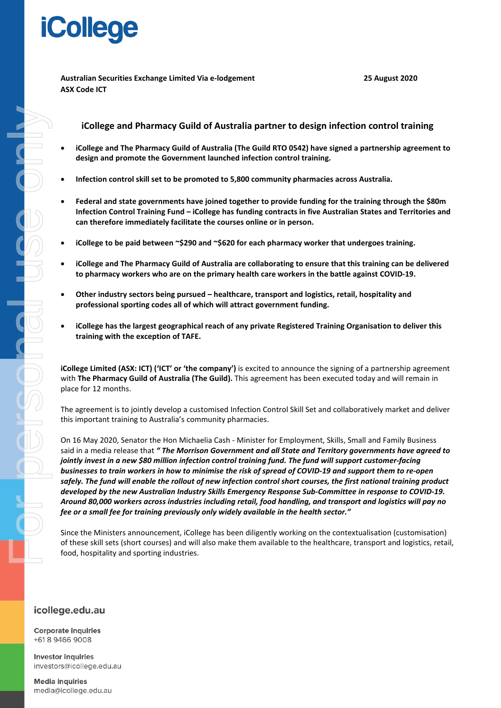### **iCollege**

**Australian Securities Exchange Limited Via e-lodgement 25 August 2020 ASX Code ICT** 

#### **iCollege and Pharmacy Guild of Australia partner to design infection control training**

- **iCollege and The Pharmacy Guild of Australia (The Guild RTO 0542) have signed a partnership agreement to design and promote the Government launched infection control training.**
- **Infection control skill set to be promoted to 5,800 community pharmacies across Australia.**
- **Federal and state governments have joined together to provide funding for the training through the \$80m Infection Control Training Fund – iCollege has funding contracts in five Australian States and Territories and can therefore immediately facilitate the courses online or in person.**
- **iCollege to be paid between ~\$290 and ~\$620 for each pharmacy worker that undergoes training.**
- **iCollege and The Pharmacy Guild of Australia are collaborating to ensure that this training can be delivered to pharmacy workers who are on the primary health care workers in the battle against COVID-19.**
- **Other industry sectors being pursued – healthcare, transport and logistics, retail, hospitality and professional sporting codes all of which will attract government funding.**
- **iCollege has the largest geographical reach of any private Registered Training Organisation to deliver this training with the exception of TAFE.**

**iCollege Limited (ASX: ICT) ('ICT' or 'the company')** is excited to announce the signing of a partnership agreement with **The Pharmacy Guild of Australia (The Guild).** This agreement has been executed today and will remain in place for 12 months.

The agreement is to jointly develop a customised Infection Control Skill Set and collaboratively market and deliver this important training to Australia's community pharmacies.

On 16 May 2020, Senator the Hon Michaelia Cash - Minister for Employment, Skills, Small and Family Business said in a media release that *" The Morrison Government and all State and Territory governments have agreed to jointly invest in a new \$80 million infection control training fund. The fund will support customer-facing businesses to train workers in how to minimise the risk of spread of COVID-19 and support them to re-open safely. The fund will enable the rollout of new infection control short courses, the first national training product developed by the new Australian Industry Skills Emergency Response Sub-Committee in response to COVID-19. Around 80,000 workers across industries including retail, food handling, and transport and logistics will pay no fee or a small fee for training previously only widely available in the health sector."* 

Since the Ministers announcement, iCollege has been diligently working on the contextualisation (customisation) of these skill sets (short courses) and will also make them available to the healthcare, transport and logistics, retail, food, hospitality and sporting industries.

### icollege.edu.au

**Corporate inquiries** +618 9466 9008

**Investor inquiries** investors@icollege.edu.au

**Media inquiries** media@icollege.edu.au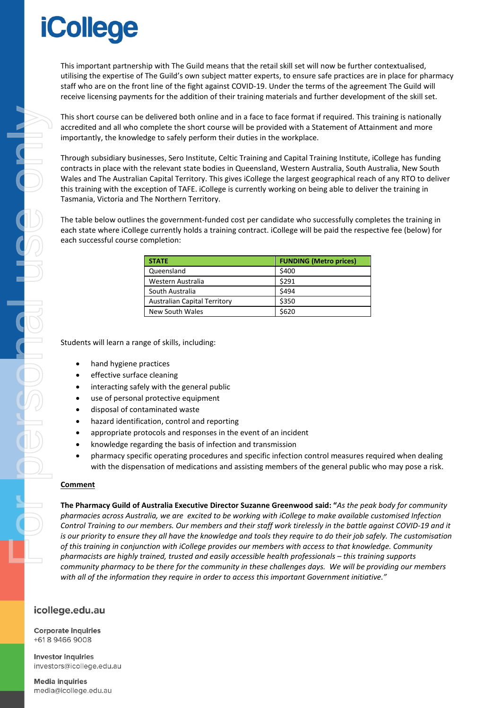# **iCollege**

This important partnership with The Guild means that the retail skill set will now be further contextualised, utilising the expertise of The Guild's own subject matter experts, to ensure safe practices are in place for pharmacy staff who are on the front line of the fight against COVID-19. Under the terms of the agreement The Guild will receive licensing payments for the addition of their training materials and further development of the skill set.

This short course can be delivered both online and in a face to face format if required. This training is nationally accredited and all who complete the short course will be provided with a Statement of Attainment and more importantly, the knowledge to safely perform their duties in the workplace.

Through subsidiary businesses, Sero Institute, Celtic Training and Capital Training Institute, iCollege has funding contracts in place with the relevant state bodies in Queensland, Western Australia, South Australia, New South Wales and The Australian Capital Territory. This gives iCollege the largest geographical reach of any RTO to deliver this training with the exception of TAFE. iCollege is currently working on being able to deliver the training in Tasmania, Victoria and The Northern Territory.

The table below outlines the government-funded cost per candidate who successfully completes the training in each state where iCollege currently holds a training contract. iCollege will be paid the respective fee (below) for each successful course completion:

| <b>STATE</b>                        | <b>FUNDING (Metro prices)</b> |
|-------------------------------------|-------------------------------|
| Queensland                          | \$400                         |
| Western Australia                   | \$291                         |
| South Australia                     | \$494                         |
| <b>Australian Capital Territory</b> | \$350                         |
| New South Wales                     | \$620                         |

Students will learn a range of skills, including:

- hand hygiene practices
- effective surface cleaning
- interacting safely with the general public
- use of personal protective equipment
- disposal of contaminated waste
- hazard identification, control and reporting
- appropriate protocols and responses in the event of an incident
- knowledge regarding the basis of infection and transmission
- pharmacy specific operating procedures and specific infection control measures required when dealing with the dispensation of medications and assisting members of the general public who may pose a risk.

#### **Comment**

**The Pharmacy Guild of Australia Executive Director Suzanne Greenwood said: "***As the peak body for community pharmacies across Australia, we are excited to be working with iCollege to make available customised Infection Control Training to our members. Our members and their staff work tirelessly in the battle against COVID-19 and it is our priority to ensure they all have the knowledge and tools they require to do their job safely. The customisation of this training in conjunction with iCollege provides our members with access to that knowledge. Community pharmacists are highly trained, trusted and easily accessible health professionals – this training supports community pharmacy to be there for the community in these challenges days. We will be providing our members with all of the information they require in order to access this important Government initiative."*

#### icollege.edu.au

**Corporate inquiries** +618 9466 9008

**Investor inquiries** investors@icollege.edu.au

**Media inquiries** media@icollege.edu.au